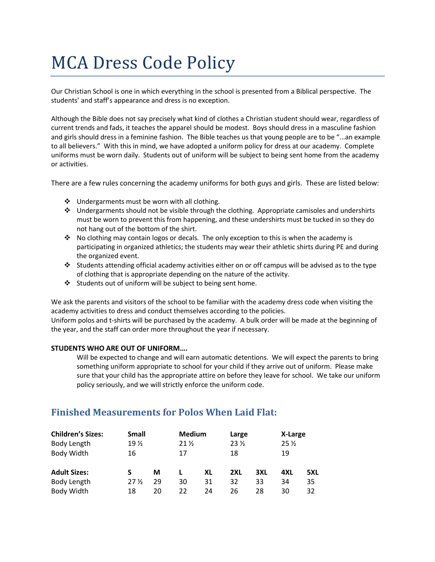# MCA Dress Code Policy

Our Christian School is one in which everything in the school is presented from a Biblical perspective. The students' and staff's appearance and dress is no exception.

Although the Bible does not say precisely what kind of clothes a Christian student should wear, regardless of current trends and fads, it teaches the apparel should be modest. Boys should dress in a masculine fashion and girls should dress in a feminine fashion. The Bible teaches us that young people are to be "...an example to all believers." With this in mind, we have adopted a uniform policy for dress at our academy. Complete uniforms must be worn daily. Students out of uniform will be subject to being sent home from the academy or activities.

There are a few rules concerning the academy uniforms for both guys and girls. These are listed below:

- Undergarments must be worn with all clothing.
- Undergarments should not be visible through the clothing. Appropriate camisoles and undershirts must be worn to prevent this from happening, and these undershirts must be tucked in so they do not hang out of the bottom of the shirt.
- No clothing may contain logos or decals. The only exception to this is when the academy is participating in organized athletics; the students may wear their athletic shirts during PE and during the organized event.
- Students attending official academy activities either on or off campus will be advised as to the type of clothing that is appropriate depending on the nature of the activity.
- Students out of uniform will be subject to being sent home.

We ask the parents and visitors of the school to be familiar with the academy dress code when visiting the academy activities to dress and conduct themselves according to the policies.

Uniform polos and t-shirts will be purchased by the academy. A bulk order will be made at the beginning of the year, and the staff can order more throughout the year if necessary.

#### **STUDENTS WHO ARE OUT OF UNIFORM….**

Will be expected to change and will earn automatic detentions. We will expect the parents to bring something uniform appropriate to school for your child if they arrive out of uniform. Please make sure that your child has the appropriate attire on before they leave for school. We take our uniform policy seriously, and we will strictly enforce the uniform code.

# **Finished Measurements for Polos When Laid Flat:**

| <b>Children's Sizes:</b> | <b>Small</b><br>19 <sub>2</sub><br>16 |    | <b>Medium</b><br>21 <sub>2</sub><br>17 |    | Large<br>23 <sub>2</sub><br>18 |     | X-Large<br>25 <sub>2</sub><br>19 |     |
|--------------------------|---------------------------------------|----|----------------------------------------|----|--------------------------------|-----|----------------------------------|-----|
| Body Length              |                                       |    |                                        |    |                                |     |                                  |     |
| Body Width               |                                       |    |                                        |    |                                |     |                                  |     |
| <b>Adult Sizes:</b>      | S                                     | М  |                                        | XL | 2XL                            | 3XL | 4XL                              | 5XL |
| Body Length              | 27 <sub>2</sub>                       | 29 | 30                                     | 31 | 32                             | 33  | 34                               | 35  |
| Body Width               | 18                                    | 20 | 22                                     | 24 | 26                             | 28  | 30                               | 32  |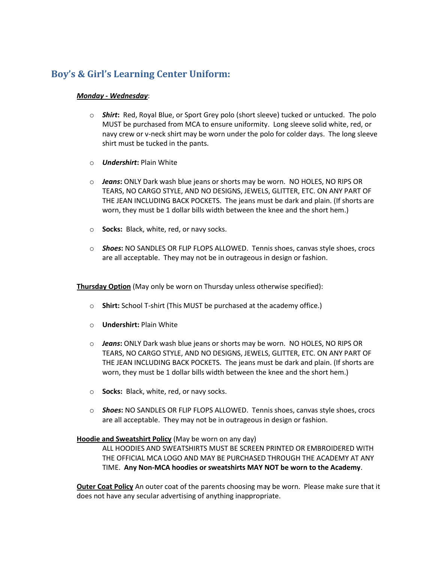## **Boy's & Girl's Learning Center Uniform:**

## *Monday - Wednesday*:

- o *Shirt***:** Red, Royal Blue, or Sport Grey polo (short sleeve) tucked or untucked. The polo MUST be purchased from MCA to ensure uniformity. Long sleeve solid white, red, or navy crew or v-neck shirt may be worn under the polo for colder days. The long sleeve shirt must be tucked in the pants.
- o *Undershirt***:** Plain White
- o *Jeans***:** ONLY Dark wash blue jeans or shorts may be worn. NO HOLES, NO RIPS OR TEARS, NO CARGO STYLE, AND NO DESIGNS, JEWELS, GLITTER, ETC. ON ANY PART OF THE JEAN INCLUDING BACK POCKETS. The jeans must be dark and plain. (If shorts are worn, they must be 1 dollar bills width between the knee and the short hem.)
- o **Socks:** Black, white, red, or navy socks.
- o *Shoes***:** NO SANDLES OR FLIP FLOPS ALLOWED. Tennis shoes, canvas style shoes, crocs are all acceptable. They may not be in outrageous in design or fashion.

**Thursday Option** (May only be worn on Thursday unless otherwise specified):

- o **Shirt:** School T-shirt (This MUST be purchased at the academy office.)
- o **Undershirt:** Plain White
- o *Jeans***:** ONLY Dark wash blue jeans or shorts may be worn. NO HOLES, NO RIPS OR TEARS, NO CARGO STYLE, AND NO DESIGNS, JEWELS, GLITTER, ETC. ON ANY PART OF THE JEAN INCLUDING BACK POCKETS. The jeans must be dark and plain. (If shorts are worn, they must be 1 dollar bills width between the knee and the short hem.)
- o **Socks:** Black, white, red, or navy socks.
- o *Shoes***:** NO SANDLES OR FLIP FLOPS ALLOWED. Tennis shoes, canvas style shoes, crocs are all acceptable. They may not be in outrageous in design or fashion.

## **Hoodie and Sweatshirt Policy** (May be worn on any day)

ALL HOODIES AND SWEATSHIRTS MUST BE SCREEN PRINTED OR EMBROIDERED WITH THE OFFICIAL MCA LOGO AND MAY BE PURCHASED THROUGH THE ACADEMY AT ANY TIME. **Any Non-MCA hoodies or sweatshirts MAY NOT be worn to the Academy**.

**Outer Coat Policy** An outer coat of the parents choosing may be worn. Please make sure that it does not have any secular advertising of anything inappropriate.